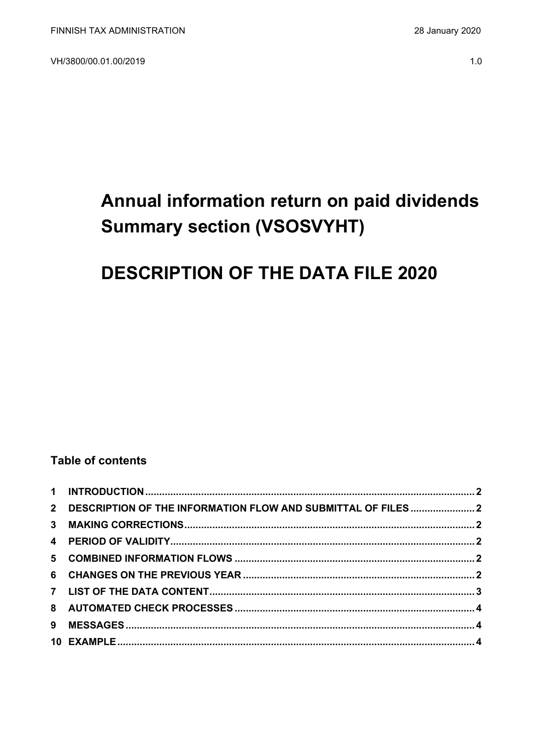VH/3800/00.01.00/2019

# Annual information return on paid dividends **Summary section (VSOSVYHT)**

## **DESCRIPTION OF THE DATA FILE 2020**

### **Table of contents**

| 2 DESCRIPTION OF THE INFORMATION FLOW AND SUBMITTAL OF FILES  2 |  |
|-----------------------------------------------------------------|--|
|                                                                 |  |
|                                                                 |  |
|                                                                 |  |
|                                                                 |  |
|                                                                 |  |
|                                                                 |  |
|                                                                 |  |
|                                                                 |  |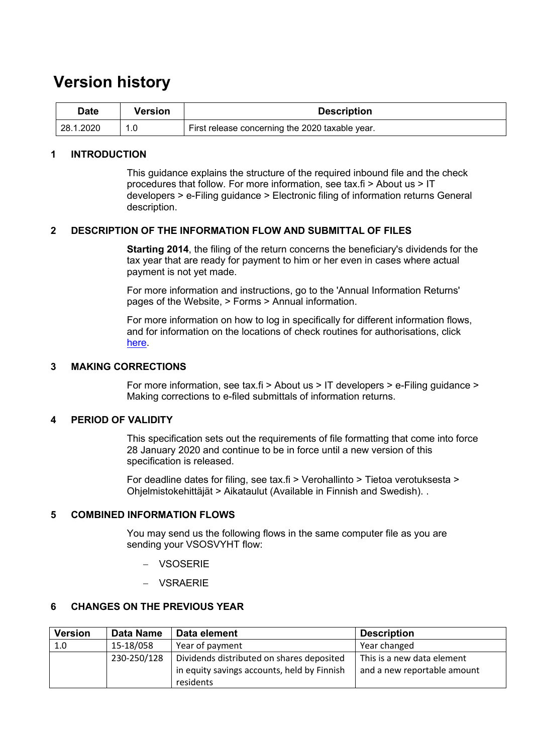## **Version history**

| <b>Date</b> | Version | <b>Description</b>                              |
|-------------|---------|-------------------------------------------------|
| 28.1.2020   |         | First release concerning the 2020 taxable year. |

#### <span id="page-1-0"></span>**1 INTRODUCTION**

This guidance explains the structure of the required inbound file and the check procedures that follow. For more information, see tax.fi > About us > IT developers > e-Filing guidance > Electronic filing of information returns General description.

#### <span id="page-1-1"></span>**2 DESCRIPTION OF THE INFORMATION FLOW AND SUBMITTAL OF FILES**

**Starting 2014**, the filing of the return concerns the beneficiary's dividends for the tax year that are ready for payment to him or her even in cases where actual payment is not yet made.

For more information and instructions, go to the 'Annual Information Returns' pages of the Website, > Forms > Annual information.

For more information on how to log in specifically for different information flows, and for information on the locations of check routines for authorisations, click [here.](https://www.ilmoitin.fi/webtamo/sivut/IlmoituslajiRoolit?kieli=en&tv=VSOSVYHT)

#### <span id="page-1-2"></span>**3 MAKING CORRECTIONS**

For more information, see tax.fi > About us > IT developers > e-Filing guidance > Making corrections to e-filed submittals of information returns.

#### <span id="page-1-3"></span>**4 PERIOD OF VALIDITY**

This specification sets out the requirements of file formatting that come into force 28 January 2020 and continue to be in force until a new version of this specification is released.

For deadline dates for filing, see tax.fi > Verohallinto > Tietoa verotuksesta > Ohjelmistokehittäjät > Aikataulut (Available in Finnish and Swedish). .

#### <span id="page-1-4"></span>**5 COMBINED INFORMATION FLOWS**

You may send us the following flows in the same computer file as you are sending your VSOSVYHT flow:

- − VSOSERIE
- − VSRAERIE

#### <span id="page-1-5"></span>**6 CHANGES ON THE PREVIOUS YEAR**

| <b>Version</b> | Data Name   | Data element                                | <b>Description</b>          |
|----------------|-------------|---------------------------------------------|-----------------------------|
| 1.0            | 15-18/058   | Year of payment                             | Year changed                |
|                | 230-250/128 | Dividends distributed on shares deposited   | This is a new data element  |
|                |             | in equity savings accounts, held by Finnish | and a new reportable amount |
|                |             | residents                                   |                             |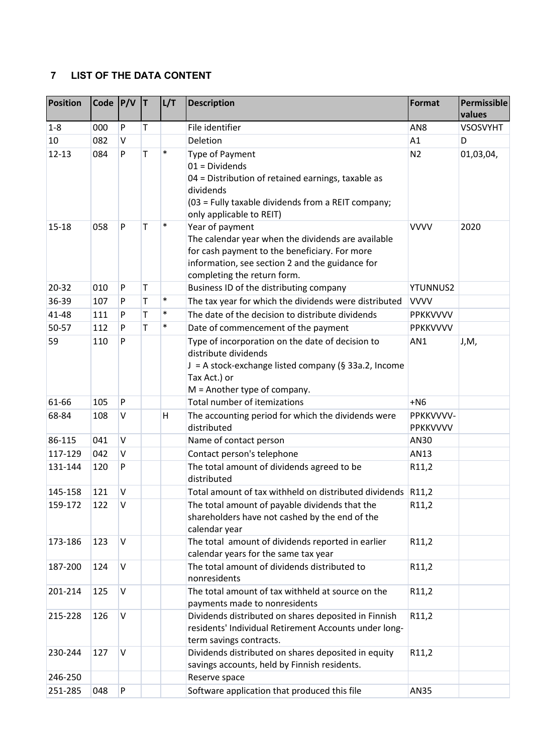## <span id="page-2-0"></span>**7 LIST OF THE DATA CONTENT**

| <b>Position</b> | Code $P/V$ |              | IТ.         | L/T    | <b>Description</b>                                                                                                                                                                                       | Format                | Permissible<br>values |
|-----------------|------------|--------------|-------------|--------|----------------------------------------------------------------------------------------------------------------------------------------------------------------------------------------------------------|-----------------------|-----------------------|
| $1-8$           | 000        | P            | T           |        | File identifier                                                                                                                                                                                          | AN <sub>8</sub>       | VSOSVYHT              |
| 10              | 082        | $\vee$       |             |        | Deletion                                                                                                                                                                                                 | A1                    | D                     |
| $12 - 13$       | 084        | P            | T           | $\ast$ | <b>Type of Payment</b><br>$01 = Dividends$<br>04 = Distribution of retained earnings, taxable as<br>dividends<br>(03 = Fully taxable dividends from a REIT company;<br>only applicable to REIT)          | N <sub>2</sub>        | 01,03,04,             |
| 15-18           | 058        | ${\sf P}$    | $\mathsf T$ | $\ast$ | Year of payment<br>The calendar year when the dividends are available<br>for cash payment to the beneficiary. For more<br>information, see section 2 and the guidance for<br>completing the return form. | <b>VVVV</b>           | 2020                  |
| 20-32           | 010        | $\mathsf{P}$ | T           |        | Business ID of the distributing company                                                                                                                                                                  | <b>YTUNNUS2</b>       |                       |
| 36-39           | 107        | P            | T           | $\ast$ | The tax year for which the dividends were distributed                                                                                                                                                    | <b>VVVV</b>           |                       |
| 41-48           | 111        | P            | T           | $\ast$ | The date of the decision to distribute dividends                                                                                                                                                         | PPKKVVVV              |                       |
| 50-57           | 112        | P            | T           | $\ast$ | Date of commencement of the payment                                                                                                                                                                      | <b>PPKKVVVV</b>       |                       |
| 59              | 110        | $\mathsf{P}$ |             |        | Type of incorporation on the date of decision to<br>distribute dividends<br>J = A stock-exchange listed company (§ 33a.2, Income<br>Tax Act.) or<br>$M =$ Another type of company.                       | AN1                   | J,M,                  |
| 61-66           | 105        | P            |             |        | <b>Total number of itemizations</b>                                                                                                                                                                      | $+NG$                 |                       |
| 68-84           | 108        | $\vee$       |             | Η      | The accounting period for which the dividends were<br>distributed                                                                                                                                        | PPKKVVVV-<br>PPKKVVVV |                       |
| 86-115          | 041        | $\sf V$      |             |        | Name of contact person                                                                                                                                                                                   | AN30                  |                       |
| 117-129         | 042        | $\vee$       |             |        | Contact person's telephone                                                                                                                                                                               | AN13                  |                       |
| 131-144         | 120        | P            |             |        | The total amount of dividends agreed to be<br>distributed                                                                                                                                                | R11,2                 |                       |
| 145-158         | 121        | $\vee$       |             |        | Total amount of tax withheld on distributed dividends R11,2                                                                                                                                              |                       |                       |
| 159-172         | 122        | $\vee$       |             |        | The total amount of payable dividends that the<br>shareholders have not cashed by the end of the<br>calendar year                                                                                        | R11,2                 |                       |
| 173-186         | 123        | $\vee$       |             |        | The total amount of dividends reported in earlier<br>calendar years for the same tax year                                                                                                                | R11,2                 |                       |
| 187-200         | 124        | $\vee$       |             |        | The total amount of dividends distributed to<br>nonresidents                                                                                                                                             | R11,2                 |                       |
| 201-214         | 125        | $\sf V$      |             |        | The total amount of tax withheld at source on the<br>payments made to nonresidents                                                                                                                       | R11,2                 |                       |
| 215-228         | 126        | $\vee$       |             |        | Dividends distributed on shares deposited in Finnish<br>residents' Individual Retirement Accounts under long-<br>term savings contracts.                                                                 | R11,2                 |                       |
| 230-244         | 127        | $\vee$       |             |        | Dividends distributed on shares deposited in equity<br>savings accounts, held by Finnish residents.                                                                                                      | R11,2                 |                       |
| 246-250         |            |              |             |        | Reserve space                                                                                                                                                                                            |                       |                       |
| 251-285         | 048        | P            |             |        | Software application that produced this file                                                                                                                                                             | AN35                  |                       |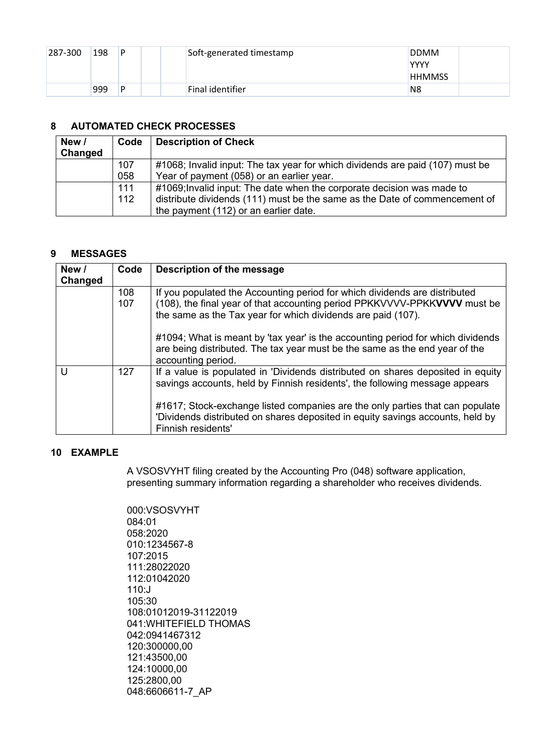| 287-300 | 198 | P | Soft-generated timestamp | <b>DDMM</b><br>YYYY |
|---------|-----|---|--------------------------|---------------------|
|         |     |   |                          | <b>HHMMSS</b>       |
|         | 999 | D | Final identifier         | N8                  |

### <span id="page-3-0"></span>**8 AUTOMATED CHECK PROCESSES**

| New /<br>Changed | Code | <b>Description of Check</b>                                                   |
|------------------|------|-------------------------------------------------------------------------------|
|                  | 107  | #1068; Invalid input: The tax year for which dividends are paid (107) must be |
|                  | 058  | Year of payment (058) or an earlier year.                                     |
|                  | 111  | #1069; Invalid input: The date when the corporate decision was made to        |
|                  | 112  | distribute dividends (111) must be the same as the Date of commencement of    |
|                  |      | the payment (112) or an earlier date.                                         |

#### <span id="page-3-1"></span>**9 MESSAGES**

| New /<br>Changed | Code       | Description of the message                                                                                                                                                                                              |
|------------------|------------|-------------------------------------------------------------------------------------------------------------------------------------------------------------------------------------------------------------------------|
|                  | 108<br>107 | If you populated the Accounting period for which dividends are distributed<br>(108), the final year of that accounting period PPKKVVVV-PPKKVVVV must be<br>the same as the Tax year for which dividends are paid (107). |
|                  |            | #1094; What is meant by 'tax year' is the accounting period for which dividends<br>are being distributed. The tax year must be the same as the end year of the<br>accounting period.                                    |
| $\mathsf{I}$     | 127        | If a value is populated in 'Dividends distributed on shares deposited in equity<br>savings accounts, held by Finnish residents', the following message appears                                                          |
|                  |            | #1617; Stock-exchange listed companies are the only parties that can populate<br>'Dividends distributed on shares deposited in equity savings accounts, held by<br>Finnish residents'                                   |

#### <span id="page-3-2"></span>**10 EXAMPLE**

A VSOSVYHT filing created by the Accounting Pro (048) software application, presenting summary information regarding a shareholder who receives dividends.

000:VSOSVYHT 084:01 058:2020 010:1234567-8 107:2015 111:28022020 112:01042020 110:J 105:30 108:01012019-31122019 041:WHITEFIELD THOMAS 042:0941467312 120:300000,00 121:43500,00 124:10000,00 125:2800,00 048:6606611-7\_AP